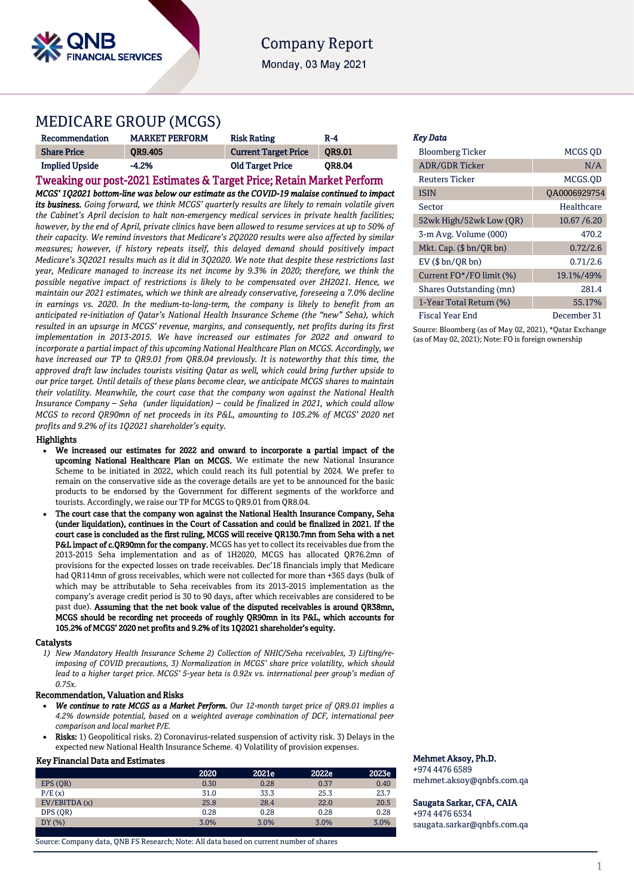

# **Company Report**

Monday, 03 May 2021

## MEDICARE GROUP (MCGS)

| Recommendation        | <b>MARKET PERFORM</b> | <b>Risk Rating</b>          | $R-4$         |
|-----------------------|-----------------------|-----------------------------|---------------|
| <b>Share Price</b>    | <b>OR9.405</b>        | <b>Current Target Price</b> | OR9.01        |
| <b>Implied Upside</b> | $-4.2%$               | <b>Old Target Price</b>     | <b>OR8.04</b> |

# Tweaking our post-2021 Estimates & Target Price; Retain Market Perform

*MCGS' 1Q2021 bottom-line was below our estimate as the COVID-19 malaise continued to impact its business. Going forward, we think MCGS' quarterly results are likely to remain volatile given the Cabinet's April decision to halt non-emergency medical services in private health facilities; however, by the end of April, private clinics have been allowed to resume services at up to 50% of their capacity. We remind investors that Medicare's 2Q2020 results were also affected by similar measures; however, if history repeats itself, this delayed demand should positively impact Medicare's 3Q2021 results much as it did in 3Q2020. We note that despite these restrictions last year, Medicare managed to increase its net income by 9.3% in 2020; therefore, we think the possible negative impact of restrictions is likely to be compensated over 2H2021. Hence, we maintain our 2021 estimates, which we think are already conservative, foreseeing a 7.0% decline* in earnings vs. 2020. In the medium-to-long-term, the company is likely to benefit from an *anticipated re-initiation of Qatar's National Health Insurance Scheme (the "new" Seha), which resulted in an upsurge in MCGS' revenue, margins, and consequently, net profits during its first implementation in 2013-2015. We have increased our estimates for 2022 and onward to incorporate a partial impact of this upcoming National Healthcare Plan on MCGS. Accordingly, we have increased our TP to QR9.01 from QR8.04 previously. It is noteworthy that this time, the approved draft law includes tourists visiting Qatar as well, which could bring further upside to our price target. Until details of these plans become clear, we anticipate MCGS shares to maintain their volatility. Meanwhile, the court case that the company won against the National Health Insurance Company – Seha (under liquidation) – could be finalized in 2021, which could allow MCGS to record QR90mn of net proceeds in its P&L, amounting to 105.2% of MCGS' 2020 net profits and 9.2% of its 1Q2021 shareholder's equity.*

### Highlights

- We increased our estimates for 2022 and onward to incorporate a partial impact of the upcoming National Healthcare Plan on MCGS. We estimate the new National Insurance Scheme to be initiated in 2022, which could reach its full potential by 2024. We prefer to remain on the conservative side as the coverage details are yet to be announced for the basic products to be endorsed by the Government for different segments of the workforce and tourists. Accordingly, we raise our TP for MCGS to QR9.01 from QR8.04.
- The court case that the company won against the National Health Insurance Company, Seha (under liquidation), continues in the Court of Cassation and could be finalized in 2021. If the court case is concluded as the first ruling, MCGS will receive QR130.7mn from Seha with a net P&L impact of c.QR90mn for the company. MCGS has yet to collect its receivables due from the 2013-2015 Seha implementation and as of 1H2020, MCGS has allocated QR76.2mn of provisions for the expected losses on trade receivables. Dec'18 financials imply that Medicare had QR114mn of gross receivables, which were not collected for more than +365 days (bulk of which may be attributable to Seha receivables from its 2013-2015 implementation as the company's average credit period is 30 to 90 days, after which receivables are considered to be past due). Assuming that the net book value of the disputed receivables is around QR38mn, MCGS should be recording net proceeds of roughly QR90mn in its P&L, which accounts for 105.2% of MCGS' 2020 net profits and 9.2% of its 1Q2021 shareholder's equity.

### Catalysts

*1) New Mandatory Health Insurance Scheme 2) Collection of NHIC/Seha receivables, 3) Lifting/reimposing of COVID precautions, 3) Normalization in MCGS' share price volatility, which should lead to a higher target price. MCGS' 5-year beta is 0.92x vs. international peer group's median of 0.75x.* 

### Recommendation, Valuation and Risks

- *We continue to rate MCGS as a Market Perform. Our 12-month target price of QR9.01 implies a 4.2% downside potential, based on a weighted average combination of DCF, international peer comparison and local market P/E.*
- Risks: 1) Geopolitical risks. 2) Coronavirus-related suspension of activity risk. 3) Delays in the expected new National Health Insurance Scheme. 4) Volatility of provision expenses.

### Key Financial Data and Estimates

|              | 2020 | 2021e | 2022e | 2023e |
|--------------|------|-------|-------|-------|
| EPS (OR)     | 0.30 | 0.28  | 0.37  | 0.40  |
| P/E(x)       | 31.0 | 33.3  | 25.3  | 23.7  |
| EV/EBITDA(x) | 25.8 | 28.4  | 22.0  | 20.5  |
| DPS (OR)     | 0.28 | 0.28  | 0.28  | 0.28  |
| DY(%)        | 3.0% | 3.0%  | 3.0%  | 3.0%  |
|              |      |       |       |       |

Source: Company data, QNB FS Research; Note: All data based on current number of shares

### *Key Data*

| <b>Bloomberg Ticker</b>  | MCGS OD      |
|--------------------------|--------------|
| <b>ADR/GDR Ticker</b>    | N/A          |
| Reuters Ticker           | MCGS.OD      |
| <b>ISIN</b>              | QA0006929754 |
| Sector                   | Healthcare   |
| 52wk High/52wk Low (QR)  | 10.67 / 6.20 |
| 3-m Avg. Volume (000)    | 470.2        |
| Mkt. Cap. (\$ bn/QR bn)  | 0.72/2.6     |
| $EV$ ( $$bn/ORbn$ )      | 0.71/2.6     |
| Current FO*/FO limit (%) | 19.1%/49%    |
| Shares Outstanding (mn)  | 281.4        |
| 1-Year Total Return (%)  | 55.17%       |
| Fiscal Year End          | December 31  |

Source: Bloomberg (as of May 02, 2021), \*Qatar Exchange (as of May 02, 2021); Note: FO is foreign ownership

### Mehmet Aksoy, Ph.D.

+974 4476 6589 mehmet.aksoy@qnbfs.com.qa

Saugata Sarkar, CFA, CAIA +974 4476 6534

[saugata.sarkar@qnbfs.com.qa](mailto:saugata.sarkar@qnbfs.com.qa)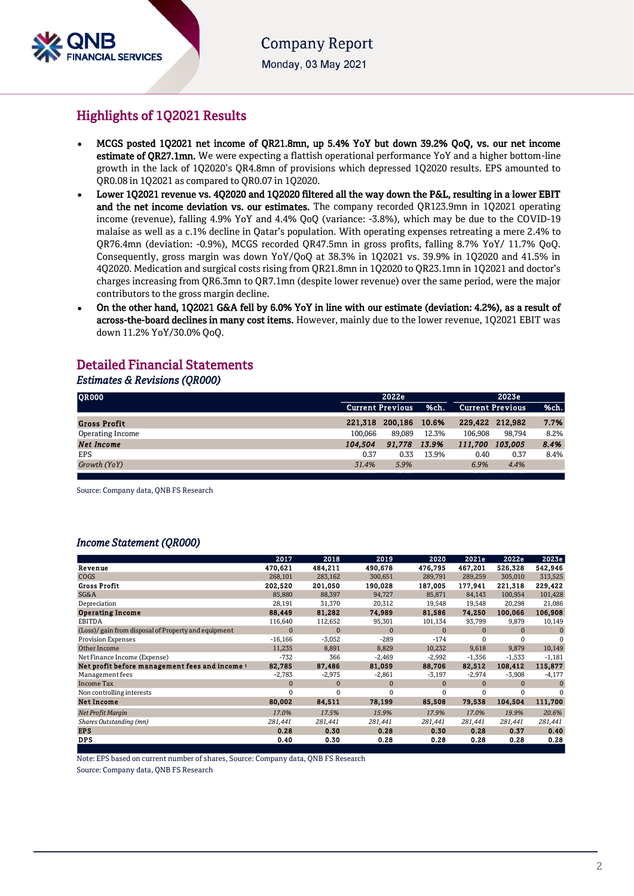

**Company Report** Monday, 03 May 2021

# Highlights of 1Q2021 Results

- MCGS posted 1Q2021 net income of QR21.8mn, up 5.4% YoY but down 39.2% QoQ, vs. our net income estimate of QR27.1mn. We were expecting a flattish operational performance YoY and a higher bottom-line growth in the lack of 1Q2020's QR4.8mn of provisions which depressed 1Q2020 results. EPS amounted to QR0.08 in 1Q2021 as compared to QR0.07 in 1Q2020.
- Lower 1Q2021 revenue vs. 4Q2020 and 1Q2020 filtered all the way down the P&L, resulting in a lower EBIT and the net income deviation vs. our estimates. The company recorded QR123.9mn in 1Q2021 operating income (revenue), falling 4.9% YoY and 4.4% QoQ (variance: -3.8%), which may be due to the COVID-19 malaise as well as a c.1% decline in Qatar's population. With operating expenses retreating a mere 2.4% to QR76.4mn (deviation: -0.9%), MCGS recorded QR47.5mn in gross profits, falling 8.7% YoY/ 11.7% QoQ. Consequently, gross margin was down YoY/QoQ at 38.3% in 1Q2021 vs. 39.9% in 1Q2020 and 41.5% in 4Q2020. Medication and surgical costs rising from QR21.8mn in 1Q2020 to QR23.1mn in 1Q2021 and doctor's charges increasing from QR6.3mn to QR7.1mn (despite lower revenue) over the same period, were the major contributors to the gross margin decline.
- On the other hand, 1Q2021 G&A fell by 6.0% YoY in line with our estimate (deviation: 4.2%), as a result of across-the-board declines in many cost items. However, mainly due to the lower revenue, 1Q2021 EBIT was down 11.2% YoY/30.0% QoQ.

# Detailed Financial Statements

### *Estimates & Revisions (QR000)*

| <b>QR000</b>        |         | 2022e                   |       |         |                         |      |
|---------------------|---------|-------------------------|-------|---------|-------------------------|------|
|                     |         | <b>Current Previous</b> | %ch.  |         | <b>Current Previous</b> | %ch. |
| <b>Gross Profit</b> | 221.318 | 200.186                 | 10.6% | 229.422 | 212.982                 | 7.7% |
| Operating Income    | 100.066 | 89.089                  | 12.3% | 106.908 | 98.794                  | 8.2% |
| <b>Net Income</b>   | 104.504 | 91.778                  | 13.9% | 111.700 | 103.005                 | 8.4% |
| EPS                 | 0.37    | 0.33                    | 13.9% | 0.40    | 0.37                    | 8.4% |
| Growth (YoY)        | 31.4%   | 5.9%                    |       | 6.9%    | 4.4%                    |      |
|                     |         |                         |       |         |                         |      |

Source: Company data, QNB FS Research

## *Income Statement (QR000)*

| 484,211<br>467,201<br>526,328<br>470,621<br>490,678<br>476,795<br>Revenue<br><b>COGS</b><br>268,101<br>283,162<br>300,651<br>289,259<br>305,010<br>289,791<br><b>Gross Profit</b><br>202,520<br>201,050<br>190,028<br>177,941<br>221,318<br>187,005<br>SG&A<br>94,727<br>100,954<br>85,880<br>88,397<br>85,871<br>84,143<br>Depreciation<br>28,191<br>31,370<br>20,312<br>19,548<br>19,548<br>20,298<br><b>Operating Income</b><br>88,449<br>81,282<br>74,989<br>81,586<br>74,250<br>100,066<br>EBITDA<br>116,640<br>112,652<br>95,301<br>101,134<br>93,799<br>9,879<br>(Loss)/ gain from disposal of Property and equipment<br>$\mathbf{0}$<br>$\mathbf{0}$<br>$\mathbf{0}$<br>$\Omega$<br>$\Omega$<br>$\Omega$<br>$-289$<br>$-174$<br><b>Provision Expenses</b><br>$-16,166$<br>$-3,052$<br>$\Omega$<br>$\Omega$<br>Other Income<br>8,829<br>10,232<br>9,618<br>9,879<br>11,235<br>8,891<br>Net Finance Income (Expense)<br>$-732$<br>366<br>$-2,469$<br>$-2,992$<br>$-1,356$<br>$-1,533$<br>81,059<br>108,412<br>Net profit before management fees and income t<br>82,785<br>87,486<br>88,706<br>82,512<br>$-2,974$<br>Management fees<br>$-2,783$<br>$-2,975$<br>$-2,861$<br>$-3,197$<br>$-3,908$ |                   | 2017         | 2018         | 2019         | 2020 | 2021e    | 2022e    | 2023e    |
|-------------------------------------------------------------------------------------------------------------------------------------------------------------------------------------------------------------------------------------------------------------------------------------------------------------------------------------------------------------------------------------------------------------------------------------------------------------------------------------------------------------------------------------------------------------------------------------------------------------------------------------------------------------------------------------------------------------------------------------------------------------------------------------------------------------------------------------------------------------------------------------------------------------------------------------------------------------------------------------------------------------------------------------------------------------------------------------------------------------------------------------------------------------------------------------------------------|-------------------|--------------|--------------|--------------|------|----------|----------|----------|
|                                                                                                                                                                                                                                                                                                                                                                                                                                                                                                                                                                                                                                                                                                                                                                                                                                                                                                                                                                                                                                                                                                                                                                                                       |                   |              |              |              |      |          |          | 542,946  |
|                                                                                                                                                                                                                                                                                                                                                                                                                                                                                                                                                                                                                                                                                                                                                                                                                                                                                                                                                                                                                                                                                                                                                                                                       |                   |              |              |              |      |          |          | 313,525  |
|                                                                                                                                                                                                                                                                                                                                                                                                                                                                                                                                                                                                                                                                                                                                                                                                                                                                                                                                                                                                                                                                                                                                                                                                       |                   |              |              |              |      |          |          | 229,422  |
|                                                                                                                                                                                                                                                                                                                                                                                                                                                                                                                                                                                                                                                                                                                                                                                                                                                                                                                                                                                                                                                                                                                                                                                                       |                   |              |              |              |      |          |          | 101,428  |
|                                                                                                                                                                                                                                                                                                                                                                                                                                                                                                                                                                                                                                                                                                                                                                                                                                                                                                                                                                                                                                                                                                                                                                                                       |                   |              |              |              |      |          |          | 21,086   |
|                                                                                                                                                                                                                                                                                                                                                                                                                                                                                                                                                                                                                                                                                                                                                                                                                                                                                                                                                                                                                                                                                                                                                                                                       |                   |              |              |              |      |          |          | 106,908  |
|                                                                                                                                                                                                                                                                                                                                                                                                                                                                                                                                                                                                                                                                                                                                                                                                                                                                                                                                                                                                                                                                                                                                                                                                       |                   |              |              |              |      |          |          | 10,149   |
|                                                                                                                                                                                                                                                                                                                                                                                                                                                                                                                                                                                                                                                                                                                                                                                                                                                                                                                                                                                                                                                                                                                                                                                                       |                   |              |              |              |      |          |          | $\Omega$ |
|                                                                                                                                                                                                                                                                                                                                                                                                                                                                                                                                                                                                                                                                                                                                                                                                                                                                                                                                                                                                                                                                                                                                                                                                       |                   |              |              |              |      |          |          | $\Omega$ |
|                                                                                                                                                                                                                                                                                                                                                                                                                                                                                                                                                                                                                                                                                                                                                                                                                                                                                                                                                                                                                                                                                                                                                                                                       |                   |              |              |              |      |          |          | 10,149   |
|                                                                                                                                                                                                                                                                                                                                                                                                                                                                                                                                                                                                                                                                                                                                                                                                                                                                                                                                                                                                                                                                                                                                                                                                       |                   |              |              |              |      |          |          | $-1,181$ |
|                                                                                                                                                                                                                                                                                                                                                                                                                                                                                                                                                                                                                                                                                                                                                                                                                                                                                                                                                                                                                                                                                                                                                                                                       |                   |              |              |              |      |          |          | 115,877  |
|                                                                                                                                                                                                                                                                                                                                                                                                                                                                                                                                                                                                                                                                                                                                                                                                                                                                                                                                                                                                                                                                                                                                                                                                       |                   |              |              |              |      |          |          | $-4,177$ |
| $\mathbf{0}$                                                                                                                                                                                                                                                                                                                                                                                                                                                                                                                                                                                                                                                                                                                                                                                                                                                                                                                                                                                                                                                                                                                                                                                          | <b>Income Tax</b> | $\mathbf{0}$ | $\mathbf{0}$ | $\mathbf{0}$ |      | $\Omega$ | $\Omega$ | $\Omega$ |
| 0<br>Non controlling interests<br>$\Omega$<br>0<br>0<br>0<br>$\Omega$                                                                                                                                                                                                                                                                                                                                                                                                                                                                                                                                                                                                                                                                                                                                                                                                                                                                                                                                                                                                                                                                                                                                 |                   |              |              |              |      |          |          | $\Omega$ |
| <b>Net Income</b><br>80,002<br>84,511<br>78,199<br>85,508<br>79,538<br>104,504                                                                                                                                                                                                                                                                                                                                                                                                                                                                                                                                                                                                                                                                                                                                                                                                                                                                                                                                                                                                                                                                                                                        |                   |              |              |              |      |          |          | 111,700  |
| Net Profit Margin<br>17.0%<br>17.5%<br>15.9%<br>17.9%<br>17.0%<br>19.9%                                                                                                                                                                                                                                                                                                                                                                                                                                                                                                                                                                                                                                                                                                                                                                                                                                                                                                                                                                                                                                                                                                                               |                   |              |              |              |      |          |          | 20.6%    |
| Shares Outstanding (mn)<br>281,441<br>281,441<br>281,441<br>281,441<br>281,441<br>281,441                                                                                                                                                                                                                                                                                                                                                                                                                                                                                                                                                                                                                                                                                                                                                                                                                                                                                                                                                                                                                                                                                                             |                   |              |              |              |      |          |          | 281,441  |
| <b>EPS</b><br>0.28<br>0.30<br>0.28<br>0.28<br>0.37<br>0.30                                                                                                                                                                                                                                                                                                                                                                                                                                                                                                                                                                                                                                                                                                                                                                                                                                                                                                                                                                                                                                                                                                                                            |                   |              |              |              |      |          |          | 0.40     |
| <b>DPS</b><br>0.40<br>0.30<br>0.28<br>0.28<br>0.28<br>0.28                                                                                                                                                                                                                                                                                                                                                                                                                                                                                                                                                                                                                                                                                                                                                                                                                                                                                                                                                                                                                                                                                                                                            |                   |              |              |              |      |          |          | 0.28     |

Note: EPS based on current number of shares, Source: Company data, QNB FS Research

Source: Company data, QNB FS Research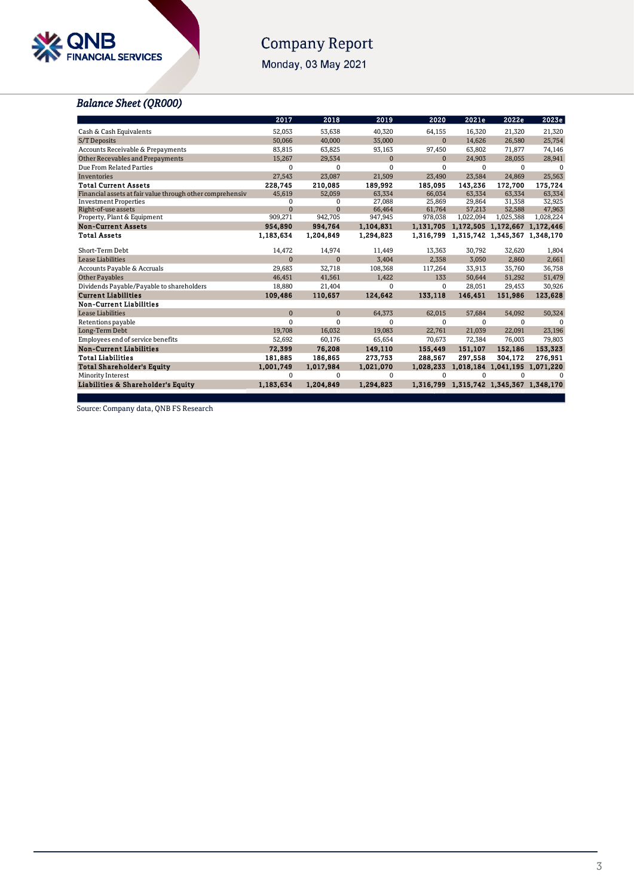

# Company Report

Monday, 03 May 2021

# *Balance Sheet (QR000)*

|                                                           | 2017         | 2018      | 2019         | 2020         | 2021e                                   | 2022e                         | 2023e     |
|-----------------------------------------------------------|--------------|-----------|--------------|--------------|-----------------------------------------|-------------------------------|-----------|
| Cash & Cash Equivalents                                   | 52,053       | 53,638    | 40,320       | 64,155       | 16,320                                  | 21,320                        | 21,320    |
| S/T Deposits                                              | 50,066       | 40,000    | 35,000       | $\Omega$     | 14,626                                  | 26,580                        | 25,754    |
| Accounts Receivable & Prepayments                         | 83,815       | 63,825    | 93,163       | 97,450       | 63,802                                  | 71,877                        | 74,146    |
| Other Recevables and Prepayments                          | 15,267       | 29,534    | $\mathbf{0}$ | $\mathbf{0}$ | 24,903                                  | 28,055                        | 28,941    |
| Due From Related Parties                                  | $\Omega$     | 0         | 0            | 0            | 0                                       | 0                             | $\Omega$  |
| Inventories                                               | 27,543       | 23,087    | 21,509       | 23,490       | 23,584                                  | 24.869                        | 25,563    |
| <b>Total Current Assets</b>                               | 228,745      | 210,085   | 189,992      | 185,095      | 143,236                                 | 172,700                       | 175,724   |
| Financial assets at fair value through other comprehensiv | 45,619       | 52,059    | 63,334       | 66.034       | 63.334                                  | 63.334                        | 63,334    |
| <b>Investment Properties</b>                              | $\Omega$     | $\Omega$  | 27.088       | 25,869       | 29.864                                  | 31.358                        | 32,925    |
| Right-of-use assets                                       | $\mathbf{0}$ | $\Omega$  | 66,464       | 61,764       | 57,213                                  | 52,588                        | 47,963    |
| Property, Plant & Equipment                               | 909,271      | 942,705   | 947,945      | 978,038      | 1,022,094                               | 1,025,388                     | 1,028,224 |
| <b>Non-Current Assets</b>                                 | 954,890      | 994.764   | 1.104.831    |              | 1,131,705 1,172,505 1,172,667 1,172,446 |                               |           |
| <b>Total Assets</b>                                       | 1,183,634    | 1,204,849 | 1,294,823    | 1,316,799    |                                         | 1,315,742 1,345,367 1,348,170 |           |
| Short-Term Debt                                           | 14,472       | 14,974    | 11,449       | 13,363       | 30,792                                  | 32,620                        | 1,804     |
| Lease Liabilities                                         | $\Omega$     | $\Omega$  | 3,404        | 2.358        | 3,050                                   | 2.860                         | 2,661     |
| Accounts Payable & Accruals                               | 29,683       | 32,718    | 108,368      | 117,264      | 33,913                                  | 35,760                        | 36,758    |
| <b>Other Payables</b>                                     | 46,451       | 41,561    | 1,422        | 133          | 50,644                                  | 51,292                        | 51,479    |
| Dividends Payable/Payable to shareholders                 | 18.880       | 21,404    | 0            | 0            | 28,051                                  | 29.453                        | 30,926    |
| <b>Current Liabilities</b>                                | 109,486      | 110,657   | 124,642      | 133,118      | 146,451                                 | 151,986                       | 123,628   |
| <b>Non-Current Liabilities</b>                            |              |           |              |              |                                         |                               |           |
| Lease Liabilities                                         | $\Omega$     | $\Omega$  | 64,373       | 62,015       | 57,684                                  | 54,092                        | 50,324    |
| Retentions payable                                        | $\Omega$     | $\Omega$  | $\Omega$     | 0            | $\Omega$                                | $\Omega$                      | $\Omega$  |
| Long-Term Debt                                            | 19.708       | 16,032    | 19,083       | 22,761       | 21,039                                  | 22,091                        | 23,196    |
| Employees end of service benefits                         | 52,692       | 60,176    | 65,654       | 70.673       | 72.384                                  | 76.003                        | 79,803    |
| <b>Non-Current Liabilities</b>                            | 72.399       | 76,208    | 149,110      | 155,449      | 151.107                                 | 152.186                       | 153,323   |
| <b>Total Liabilities</b>                                  | 181,885      | 186,865   | 273,753      | 288,567      | 297,558                                 | 304.172                       | 276,951   |
| <b>Total Shareholder's Equity</b>                         | 1,001,749    | 1,017,984 | 1,021,070    | 1,028,233    |                                         | 1,018,184 1,041,195 1,071,220 |           |
| Minority Interest                                         | $\Omega$     | $\Omega$  | $\Omega$     | $\Omega$     | $\Omega$                                | $\Omega$                      | $\Omega$  |
| Liabilities & Shareholder's Equity                        | 1,183,634    | 1,204,849 | 1,294,823    |              | 1,316,799 1,315,742 1,345,367 1,348,170 |                               |           |

Source: Company data, QNB FS Research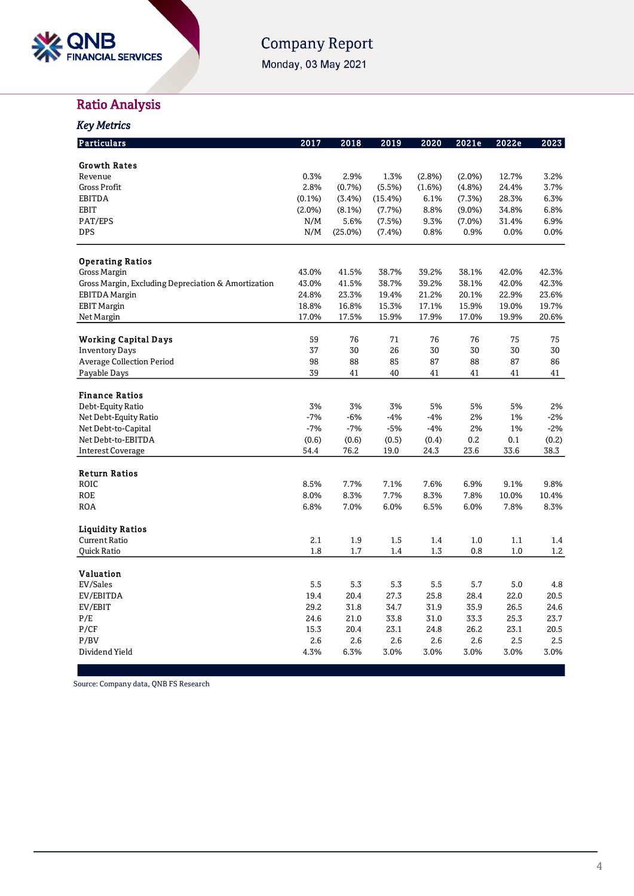

# Company Report

Monday, 03 May 2021

# Ratio Analysis

| <b>Key Metrics</b>                                  |           |         |         |        |           |       |       |
|-----------------------------------------------------|-----------|---------|---------|--------|-----------|-------|-------|
| Particulars                                         | 2017      | 2018    | 2019    | 2020   | 2021e     | 2022e | 2023  |
| <b>Growth Rates</b>                                 |           |         |         |        |           |       |       |
| Revenue                                             | 0.3%      | 2.9%    | 1.3%    | (2.8%) | $(2.0\%)$ | 12.7% | 3.2%  |
| <b>Gross Profit</b>                                 | 2.8%      | (0.7%)  | (5.5%)  | (1.6%) | (4.8%)    | 24.4% | 3.7%  |
| EBITDA                                              | $(0.1\%)$ | (3.4%)  | (15.4%) | 6.1%   | (7.3%)    | 28.3% | 6.3%  |
| <b>EBIT</b>                                         | $(2.0\%)$ | (8.1%)  | (7.7%)  | 8.8%   | $(9.0\%)$ | 34.8% | 6.8%  |
| PAT/EPS                                             | N/M       | 5.6%    | (7.5%)  | 9.3%   | $(7.0\%)$ | 31.4% | 6.9%  |
| <b>DPS</b>                                          | N/M       | (25.0%) | (7.4%)  | 0.8%   | 0.9%      | 0.0%  | 0.0%  |
| <b>Operating Ratios</b>                             |           |         |         |        |           |       |       |
| <b>Gross Margin</b>                                 | 43.0%     | 41.5%   | 38.7%   | 39.2%  | 38.1%     | 42.0% | 42.3% |
| Gross Margin, Excluding Depreciation & Amortization | 43.0%     | 41.5%   | 38.7%   | 39.2%  | 38.1%     | 42.0% | 42.3% |
| EBITDA Margin                                       | 24.8%     | 23.3%   | 19.4%   | 21.2%  | 20.1%     | 22.9% | 23.6% |
| <b>EBIT Margin</b>                                  | 18.8%     | 16.8%   | 15.3%   | 17.1%  | 15.9%     | 19.0% | 19.7% |
| Net Margin                                          | 17.0%     | 17.5%   | 15.9%   | 17.9%  | 17.0%     | 19.9% | 20.6% |
|                                                     |           |         |         |        |           |       |       |
| <b>Working Capital Days</b>                         | 59        | 76      | 71      | 76     | 76        | 75    | 75    |
| <b>Inventory Days</b>                               | 37        | 30      | 26      | 30     | 30        | 30    | 30    |
| <b>Average Collection Period</b>                    | 98        | 88      | 85      | 87     | 88        | 87    | 86    |
| Payable Days                                        | 39        | 41      | 40      | 41     | 41        | 41    | 41    |
| <b>Finance Ratios</b>                               |           |         |         |        |           |       |       |
| Debt-Equity Ratio                                   | 3%        | 3%      | 3%      | 5%     | 5%        | 5%    | 2%    |
| Net Debt-Equity Ratio                               | $-7%$     | $-6%$   | $-4%$   | $-4%$  | 2%        | 1%    | $-2%$ |
| Net Debt-to-Capital                                 | $-7%$     | $-7%$   | $-5%$   | $-4%$  | 2%        | 1%    | $-2%$ |
| Net Debt-to-EBITDA                                  | (0.6)     | (0.6)   | (0.5)   | (0.4)  | 0.2       | 0.1   | (0.2) |
| Interest Coverage                                   | 54.4      | 76.2    | 19.0    | 24.3   | 23.6      | 33.6  | 38.3  |
| <b>Return Ratios</b>                                |           |         |         |        |           |       |       |
| ROIC                                                | 8.5%      | 7.7%    | 7.1%    | 7.6%   | 6.9%      | 9.1%  | 9.8%  |
| <b>ROE</b>                                          | 8.0%      | 8.3%    | 7.7%    | 8.3%   | 7.8%      | 10.0% | 10.4% |
| <b>ROA</b>                                          | 6.8%      | 7.0%    | 6.0%    | 6.5%   | 6.0%      | 7.8%  | 8.3%  |
|                                                     |           |         |         |        |           |       |       |
| <b>Liquidity Ratios</b>                             |           |         |         |        |           |       |       |
| <b>Current Ratio</b>                                | 2.1       | 1.9     | 1.5     | 1.4    | 1.0       | 1.1   | 1.4   |
| Quick Ratio                                         | 1.8       | 1.7     | 1.4     | 1.3    | 0.8       | 1.0   | 1.2   |
|                                                     |           |         |         |        |           |       |       |
| <b>Valuation</b>                                    |           |         |         |        |           |       |       |
| EV/Sales                                            | 5.5       | 5.3     | 5.3     | 5.5    | 5.7       | 5.0   | 4.8   |
| EV/EBITDA                                           | 19.4      | 20.4    | 27.3    | 25.8   | 28.4      | 22.0  | 20.5  |
| EV/EBIT                                             | 29.2      | 31.8    | 34.7    | 31.9   | 35.9      | 26.5  | 24.6  |
| P/E                                                 | 24.6      | 21.0    | 33.8    | 31.0   | 33.3      | 25.3  | 23.7  |
| P/CF                                                | 15.3      | 20.4    | 23.1    | 24.8   | 26.2      | 23.1  | 20.5  |
| P/BV                                                | 2.6       | 2.6     | 2.6     | 2.6    | 2.6       | 2.5   | 2.5   |
| Dividend Yield                                      | 4.3%      | 6.3%    | 3.0%    | 3.0%   | 3.0%      | 3.0%  | 3.0%  |

Source: Company data, QNB FS Research